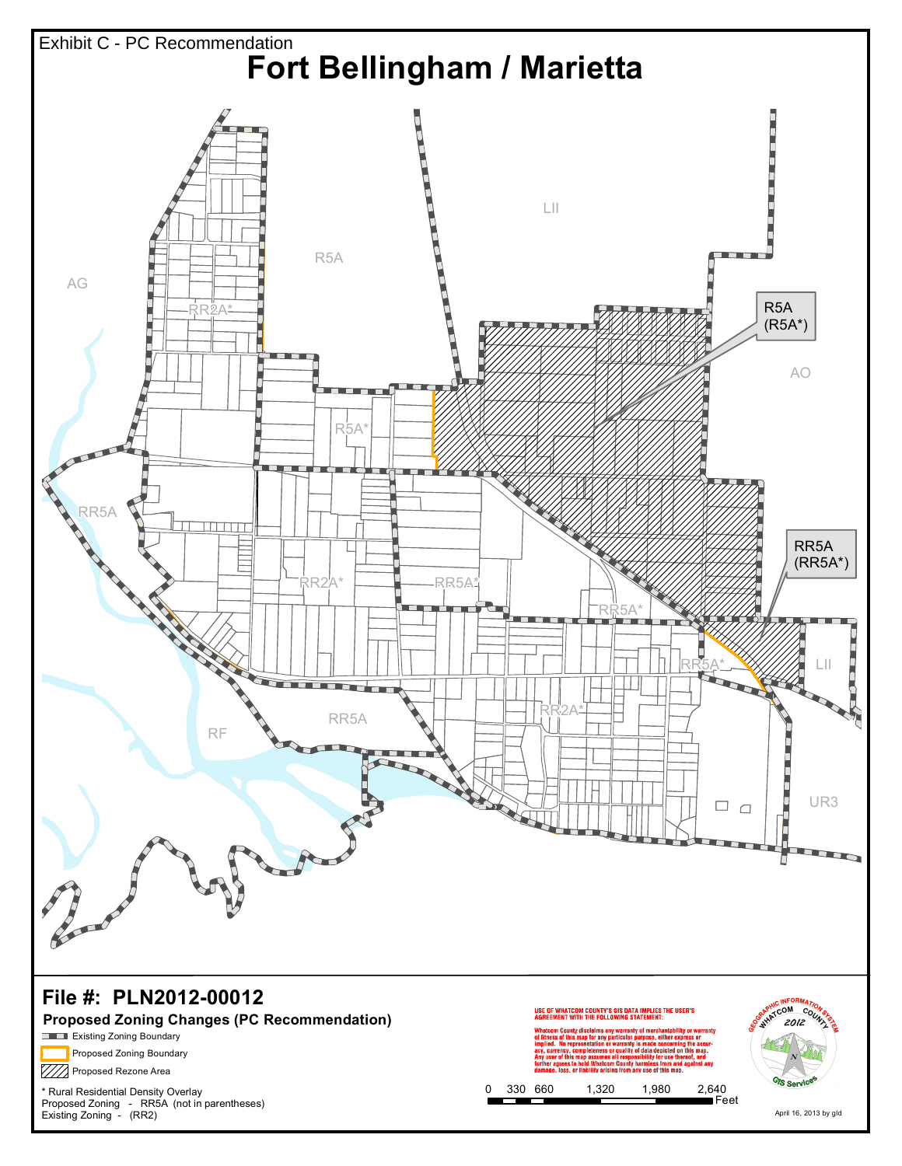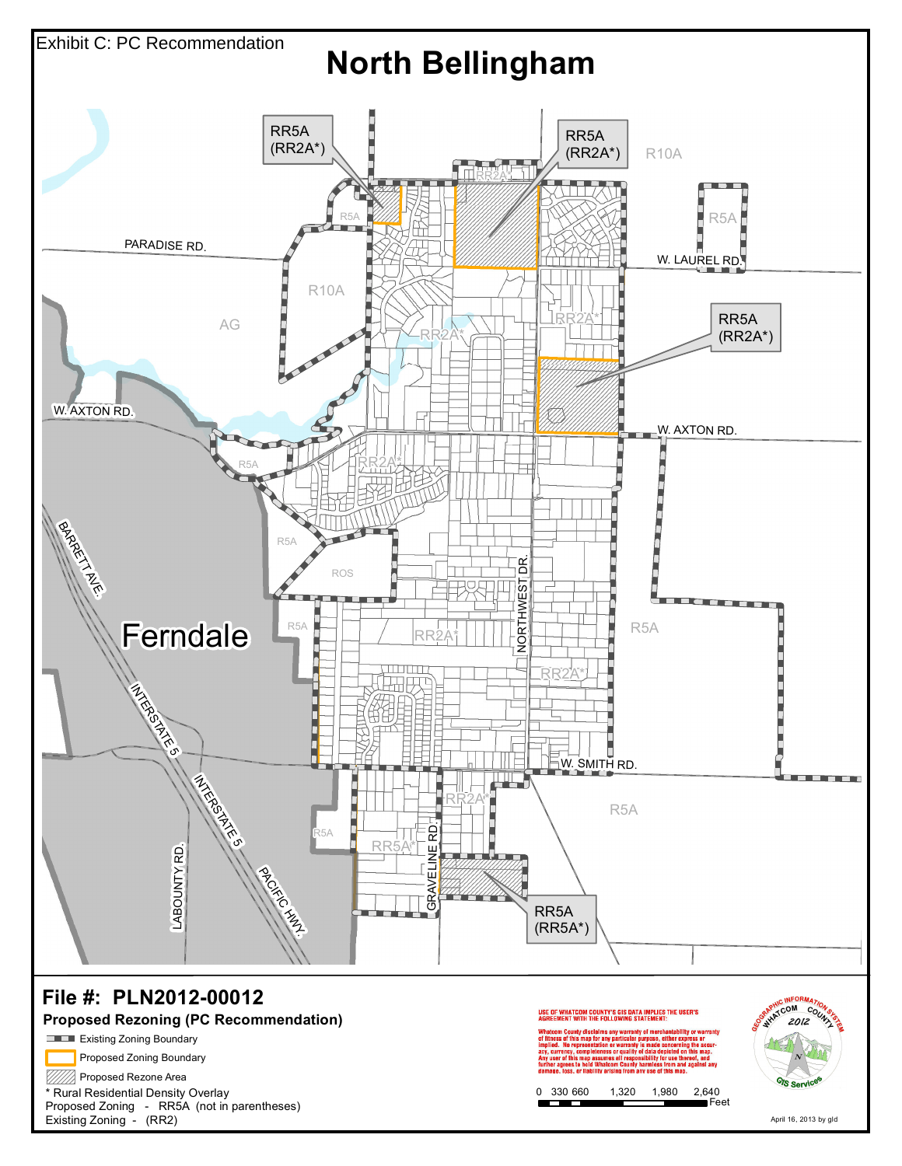